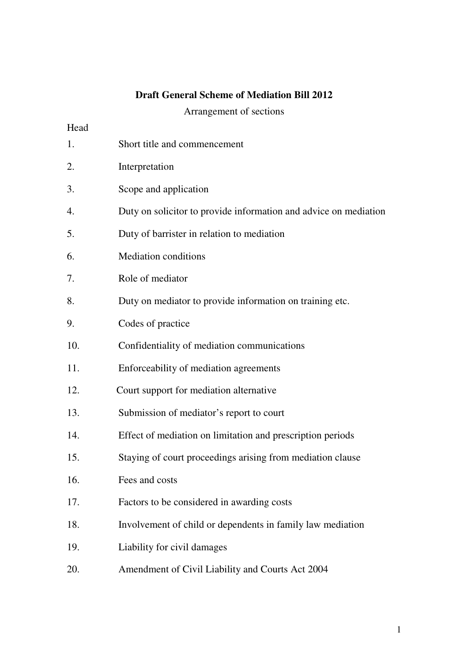# **Draft General Scheme of Mediation Bill 2012**

Arrangement of sections

# Head

| 1.  | Short title and commencement                                     |
|-----|------------------------------------------------------------------|
| 2.  | Interpretation                                                   |
| 3.  | Scope and application                                            |
| 4.  | Duty on solicitor to provide information and advice on mediation |
| 5.  | Duty of barrister in relation to mediation                       |
| 6.  | <b>Mediation conditions</b>                                      |
| 7.  | Role of mediator                                                 |
| 8.  | Duty on mediator to provide information on training etc.         |
| 9.  | Codes of practice                                                |
| 10. | Confidentiality of mediation communications                      |
| 11. | Enforceability of mediation agreements                           |
| 12. | Court support for mediation alternative                          |
| 13. | Submission of mediator's report to court                         |
| 14. | Effect of mediation on limitation and prescription periods       |
| 15. | Staying of court proceedings arising from mediation clause       |
| 16. | Fees and costs                                                   |
| 17. | Factors to be considered in awarding costs                       |
| 18. | Involvement of child or dependents in family law mediation       |
| 19. | Liability for civil damages                                      |
| 20. | Amendment of Civil Liability and Courts Act 2004                 |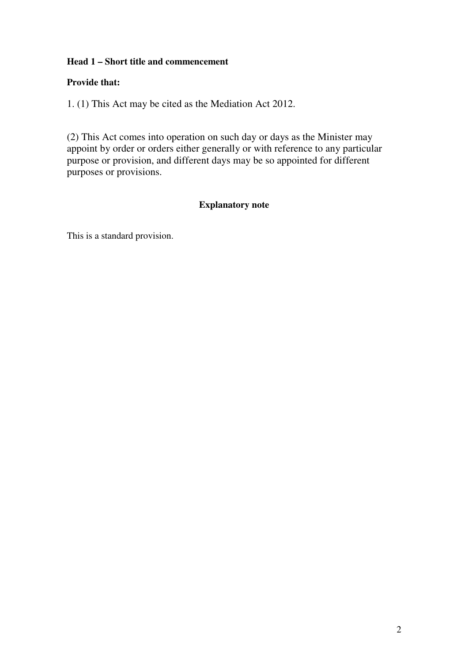# **Head 1 – Short title and commencement**

## **Provide that:**

1. (1) This Act may be cited as the Mediation Act 2012.

(2) This Act comes into operation on such day or days as the Minister may appoint by order or orders either generally or with reference to any particular purpose or provision, and different days may be so appointed for different purposes or provisions.

# **Explanatory note**

This is a standard provision.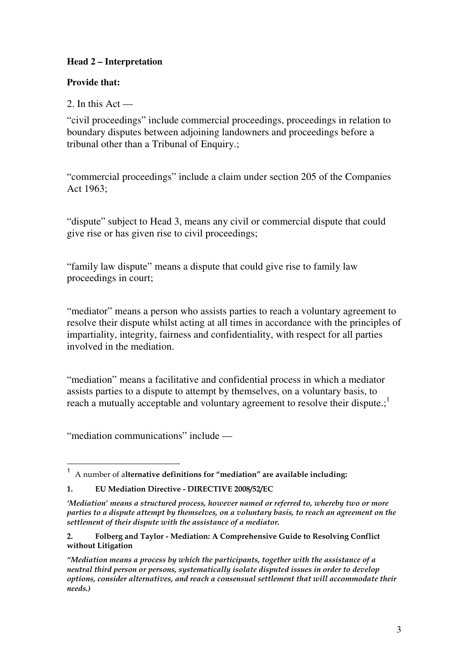# **Head 2 – Interpretation**

## **Provide that:**

2. In this Act —

"civil proceedings" include commercial proceedings, proceedings in relation to boundary disputes between adjoining landowners and proceedings before a tribunal other than a Tribunal of Enquiry.:

"commercial proceedings" include a claim under section 205 of the Companies Act 1963;

"dispute" subject to Head 3, means any civil or commercial dispute that could give rise or has given rise to civil proceedings;

"family law dispute" means a dispute that could give rise to family law proceedings in court;

"mediator" means a person who assists parties to reach a voluntary agreement to resolve their dispute whilst acting at all times in accordance with the principles of impartiality, integrity, fairness and confidentiality, with respect for all parties involved in the mediation.

"mediation" means a facilitative and confidential process in which a mediator assists parties to a dispute to attempt by themselves, on a voluntary basis, to reach a mutually acceptable and voluntary agreement to resolve their dispute.; $<sup>1</sup>$ </sup>

"mediation communications" include —

 1 A number of alternative definitions for "mediation" are available including:

<sup>1.</sup> EU Mediation Directive - DIRECTIVE 2008/52/EC

<sup>&#</sup>x27;Mediation' means a structured process, however named or referred to, whereby two or more parties to a dispute attempt by themselves, on a voluntary basis, to reach an agreement on the settlement of their dispute with the assistance of a mediator.

<sup>2.</sup> Folberg and Taylor - Mediation: A Comprehensive Guide to Resolving Conflict without Litigation

<sup>&</sup>quot;Mediation means a process by which the participants, together with the assistance of a neutral third person or persons, systematically isolate disputed issues in order to develop options, consider alternatives, and reach a consensual settlement that will accommodate their needs.)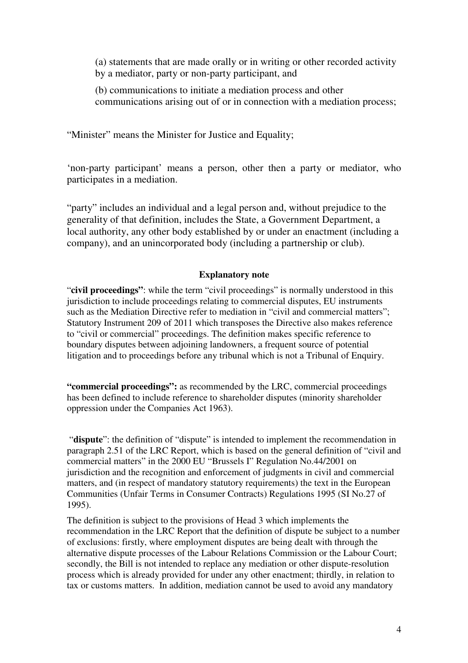(a) statements that are made orally or in writing or other recorded activity by a mediator, party or non-party participant, and

(b) communications to initiate a mediation process and other communications arising out of or in connection with a mediation process;

"Minister" means the Minister for Justice and Equality;

'non-party participant' means a person, other then a party or mediator, who participates in a mediation.

"party" includes an individual and a legal person and, without prejudice to the generality of that definition, includes the State, a Government Department, a local authority, any other body established by or under an enactment (including a company), and an unincorporated body (including a partnership or club).

## **Explanatory note**

"**civil proceedings"**: while the term "civil proceedings" is normally understood in this jurisdiction to include proceedings relating to commercial disputes, EU instruments such as the Mediation Directive refer to mediation in "civil and commercial matters"; Statutory Instrument 209 of 2011 which transposes the Directive also makes reference to "civil or commercial" proceedings. The definition makes specific reference to boundary disputes between adjoining landowners, a frequent source of potential litigation and to proceedings before any tribunal which is not a Tribunal of Enquiry.

**"commercial proceedings":** as recommended by the LRC, commercial proceedings has been defined to include reference to shareholder disputes (minority shareholder oppression under the Companies Act 1963).

 "**dispute**": the definition of "dispute" is intended to implement the recommendation in paragraph 2.51 of the LRC Report, which is based on the general definition of "civil and commercial matters" in the 2000 EU "Brussels I" Regulation No.44/2001 on jurisdiction and the recognition and enforcement of judgments in civil and commercial matters, and (in respect of mandatory statutory requirements) the text in the European Communities (Unfair Terms in Consumer Contracts) Regulations 1995 (SI No.27 of 1995).

The definition is subject to the provisions of Head 3 which implements the recommendation in the LRC Report that the definition of dispute be subject to a number of exclusions: firstly, where employment disputes are being dealt with through the alternative dispute processes of the Labour Relations Commission or the Labour Court; secondly, the Bill is not intended to replace any mediation or other dispute-resolution process which is already provided for under any other enactment; thirdly, in relation to tax or customs matters. In addition, mediation cannot be used to avoid any mandatory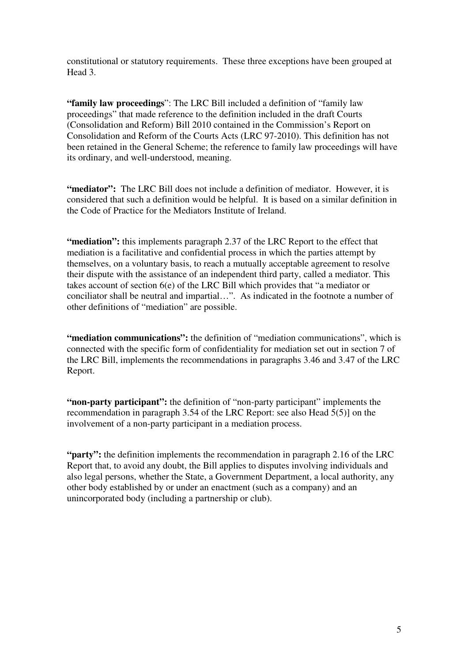constitutional or statutory requirements. These three exceptions have been grouped at Head 3.

**"family law proceedings**": The LRC Bill included a definition of "family law proceedings" that made reference to the definition included in the draft Courts (Consolidation and Reform) Bill 2010 contained in the Commission's Report on Consolidation and Reform of the Courts Acts (LRC 97-2010). This definition has not been retained in the General Scheme; the reference to family law proceedings will have its ordinary, and well-understood, meaning.

"mediator": The LRC Bill does not include a definition of mediator. However, it is considered that such a definition would be helpful. It is based on a similar definition in the Code of Practice for the Mediators Institute of Ireland.

**"mediation":** this implements paragraph 2.37 of the LRC Report to the effect that mediation is a facilitative and confidential process in which the parties attempt by themselves, on a voluntary basis, to reach a mutually acceptable agreement to resolve their dispute with the assistance of an independent third party, called a mediator. This takes account of section 6(e) of the LRC Bill which provides that "a mediator or conciliator shall be neutral and impartial…". As indicated in the footnote a number of other definitions of "mediation" are possible.

**"mediation communications":** the definition of "mediation communications", which is connected with the specific form of confidentiality for mediation set out in section 7 of the LRC Bill, implements the recommendations in paragraphs 3.46 and 3.47 of the LRC Report.

**"non-party participant":** the definition of "non-party participant" implements the recommendation in paragraph 3.54 of the LRC Report: see also Head 5(5)] on the involvement of a non-party participant in a mediation process.

**"party":** the definition implements the recommendation in paragraph 2.16 of the LRC Report that, to avoid any doubt, the Bill applies to disputes involving individuals and also legal persons, whether the State, a Government Department, a local authority, any other body established by or under an enactment (such as a company) and an unincorporated body (including a partnership or club).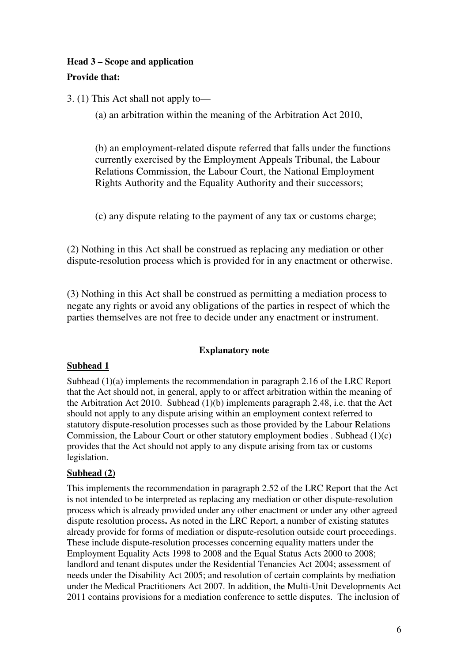# **Head 3 – Scope and application**

# **Provide that:**

3. (1) This Act shall not apply to—

(a) an arbitration within the meaning of the Arbitration Act 2010,

(b) an employment-related dispute referred that falls under the functions currently exercised by the Employment Appeals Tribunal, the Labour Relations Commission, the Labour Court, the National Employment Rights Authority and the Equality Authority and their successors;

(c) any dispute relating to the payment of any tax or customs charge;

(2) Nothing in this Act shall be construed as replacing any mediation or other dispute-resolution process which is provided for in any enactment or otherwise.

(3) Nothing in this Act shall be construed as permitting a mediation process to negate any rights or avoid any obligations of the parties in respect of which the parties themselves are not free to decide under any enactment or instrument.

## **Explanatory note**

## **Subhead 1**

Subhead (1)(a) implements the recommendation in paragraph 2.16 of the LRC Report that the Act should not, in general, apply to or affect arbitration within the meaning of the Arbitration Act 2010. Subhead (1)(b) implements paragraph 2.48, i.e. that the Act should not apply to any dispute arising within an employment context referred to statutory dispute-resolution processes such as those provided by the Labour Relations Commission, the Labour Court or other statutory employment bodies . Subhead (1)(c) provides that the Act should not apply to any dispute arising from tax or customs legislation.

## **Subhead (2)**

This implements the recommendation in paragraph 2.52 of the LRC Report that the Act is not intended to be interpreted as replacing any mediation or other dispute-resolution process which is already provided under any other enactment or under any other agreed dispute resolution process**.** As noted in the LRC Report, a number of existing statutes already provide for forms of mediation or dispute-resolution outside court proceedings. These include dispute-resolution processes concerning equality matters under the Employment Equality Acts 1998 to 2008 and the Equal Status Acts 2000 to 2008; landlord and tenant disputes under the Residential Tenancies Act 2004; assessment of needs under the Disability Act 2005; and resolution of certain complaints by mediation under the Medical Practitioners Act 2007. In addition, the Multi-Unit Developments Act 2011 contains provisions for a mediation conference to settle disputes. The inclusion of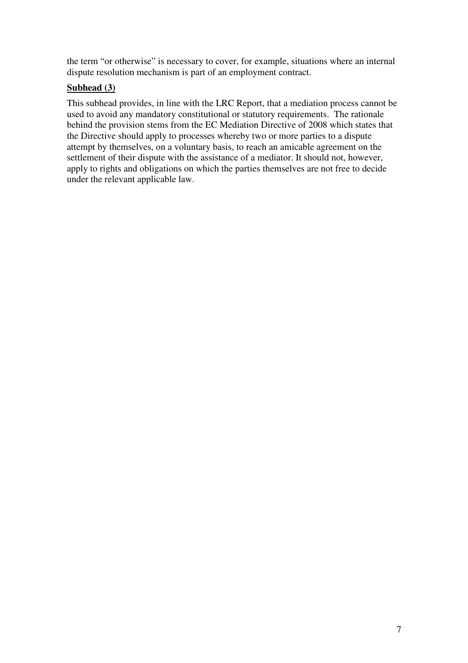the term "or otherwise" is necessary to cover, for example, situations where an internal dispute resolution mechanism is part of an employment contract.

# **Subhead (3)**

This subhead provides, in line with the LRC Report, that a mediation process cannot be used to avoid any mandatory constitutional or statutory requirements. The rationale behind the provision stems from the EC Mediation Directive of 2008 which states that the Directive should apply to processes whereby two or more parties to a dispute attempt by themselves, on a voluntary basis, to reach an amicable agreement on the settlement of their dispute with the assistance of a mediator. It should not, however, apply to rights and obligations on which the parties themselves are not free to decide under the relevant applicable law.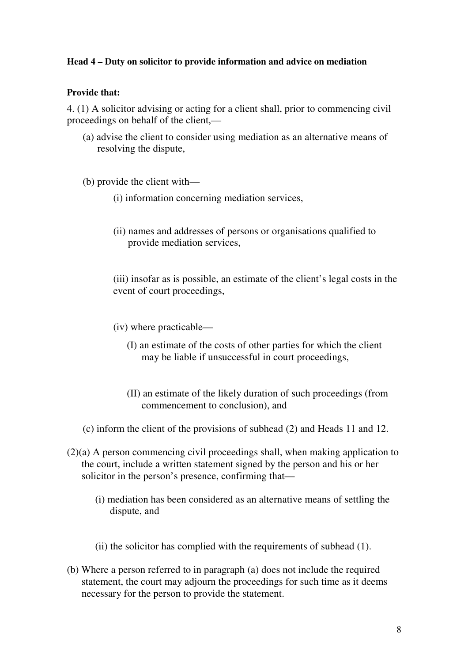## **Head 4 – Duty on solicitor to provide information and advice on mediation**

#### **Provide that:**

4. (1) A solicitor advising or acting for a client shall, prior to commencing civil proceedings on behalf of the client,—

(a) advise the client to consider using mediation as an alternative means of resolving the dispute,

(b) provide the client with—

- (i) information concerning mediation services,
- (ii) names and addresses of persons or organisations qualified to provide mediation services,

(iii) insofar as is possible, an estimate of the client's legal costs in the event of court proceedings,

- (iv) where practicable—
	- (I) an estimate of the costs of other parties for which the client may be liable if unsuccessful in court proceedings,
	- (II) an estimate of the likely duration of such proceedings (from commencement to conclusion), and
- (c) inform the client of the provisions of subhead (2) and Heads 11 and 12.
- (2)(a) A person commencing civil proceedings shall, when making application to the court, include a written statement signed by the person and his or her solicitor in the person's presence, confirming that—
	- (i) mediation has been considered as an alternative means of settling the dispute, and
	- (ii) the solicitor has complied with the requirements of subhead (1).
- (b) Where a person referred to in paragraph (a) does not include the required statement, the court may adjourn the proceedings for such time as it deems necessary for the person to provide the statement.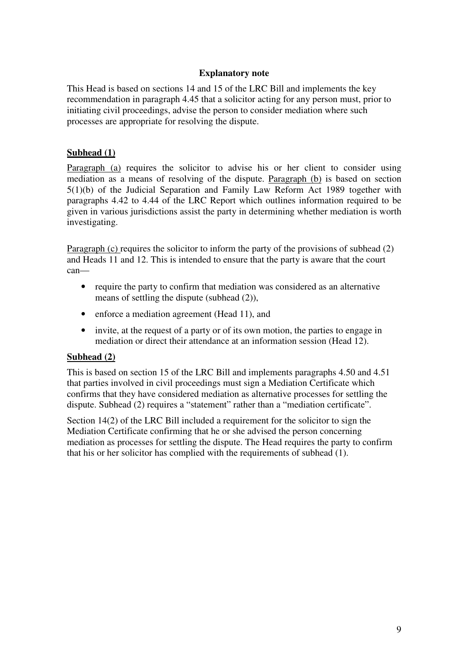#### **Explanatory note**

This Head is based on sections 14 and 15 of the LRC Bill and implements the key recommendation in paragraph 4.45 that a solicitor acting for any person must, prior to initiating civil proceedings, advise the person to consider mediation where such processes are appropriate for resolving the dispute.

## **Subhead (1)**

Paragraph (a) requires the solicitor to advise his or her client to consider using mediation as a means of resolving of the dispute. Paragraph (b) is based on section 5(1)(b) of the Judicial Separation and Family Law Reform Act 1989 together with paragraphs 4.42 to 4.44 of the LRC Report which outlines information required to be given in various jurisdictions assist the party in determining whether mediation is worth investigating.

Paragraph (c) requires the solicitor to inform the party of the provisions of subhead (2) and Heads 11 and 12. This is intended to ensure that the party is aware that the court can—

- require the party to confirm that mediation was considered as an alternative means of settling the dispute (subhead (2)),
- enforce a mediation agreement (Head 11), and
- invite, at the request of a party or of its own motion, the parties to engage in mediation or direct their attendance at an information session (Head 12).

## **Subhead (2)**

This is based on section 15 of the LRC Bill and implements paragraphs 4.50 and 4.51 that parties involved in civil proceedings must sign a Mediation Certificate which confirms that they have considered mediation as alternative processes for settling the dispute. Subhead (2) requires a "statement" rather than a "mediation certificate".

Section 14(2) of the LRC Bill included a requirement for the solicitor to sign the Mediation Certificate confirming that he or she advised the person concerning mediation as processes for settling the dispute. The Head requires the party to confirm that his or her solicitor has complied with the requirements of subhead (1).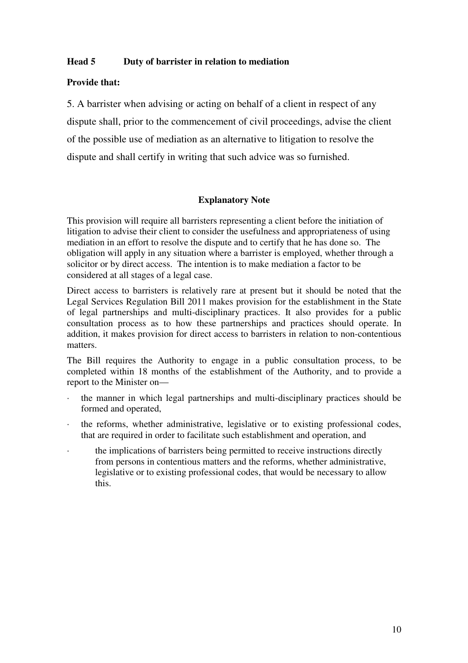## **Head 5 Duty of barrister in relation to mediation**

## **Provide that:**

5. A barrister when advising or acting on behalf of a client in respect of any dispute shall, prior to the commencement of civil proceedings, advise the client of the possible use of mediation as an alternative to litigation to resolve the dispute and shall certify in writing that such advice was so furnished.

## **Explanatory Note**

This provision will require all barristers representing a client before the initiation of litigation to advise their client to consider the usefulness and appropriateness of using mediation in an effort to resolve the dispute and to certify that he has done so. The obligation will apply in any situation where a barrister is employed, whether through a solicitor or by direct access. The intention is to make mediation a factor to be considered at all stages of a legal case.

Direct access to barristers is relatively rare at present but it should be noted that the Legal Services Regulation Bill 2011 makes provision for the establishment in the State of legal partnerships and multi-disciplinary practices. It also provides for a public consultation process as to how these partnerships and practices should operate. In addition, it makes provision for direct access to barristers in relation to non-contentious matters.

The Bill requires the Authority to engage in a public consultation process, to be completed within 18 months of the establishment of the Authority, and to provide a report to the Minister on—

- · the manner in which legal partnerships and multi-disciplinary practices should be formed and operated,
- the reforms, whether administrative, legislative or to existing professional codes, that are required in order to facilitate such establishment and operation, and
- the implications of barristers being permitted to receive instructions directly from persons in contentious matters and the reforms, whether administrative, legislative or to existing professional codes, that would be necessary to allow this.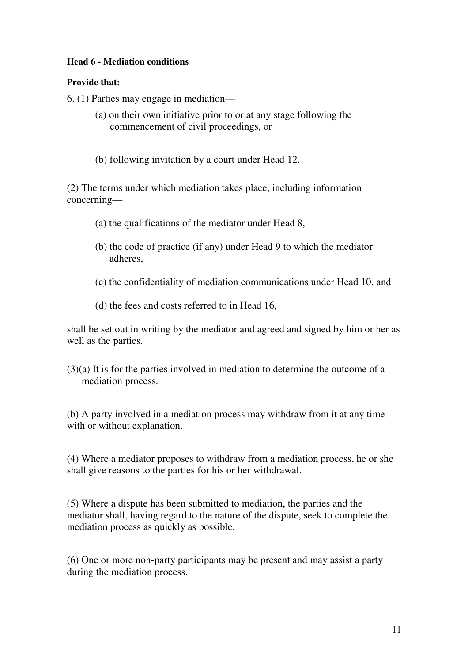# **Head 6 - Mediation conditions**

# **Provide that:**

6. (1) Parties may engage in mediation—

- (a) on their own initiative prior to or at any stage following the commencement of civil proceedings, or
- (b) following invitation by a court under Head 12.

(2) The terms under which mediation takes place, including information concerning—

- (a) the qualifications of the mediator under Head 8,
- (b) the code of practice (if any) under Head 9 to which the mediator adheres,
- (c) the confidentiality of mediation communications under Head 10, and
- (d) the fees and costs referred to in Head 16,

shall be set out in writing by the mediator and agreed and signed by him or her as well as the parties.

(3)(a) It is for the parties involved in mediation to determine the outcome of a mediation process.

(b) A party involved in a mediation process may withdraw from it at any time with or without explanation.

(4) Where a mediator proposes to withdraw from a mediation process, he or she shall give reasons to the parties for his or her withdrawal.

(5) Where a dispute has been submitted to mediation, the parties and the mediator shall, having regard to the nature of the dispute, seek to complete the mediation process as quickly as possible.

(6) One or more non-party participants may be present and may assist a party during the mediation process.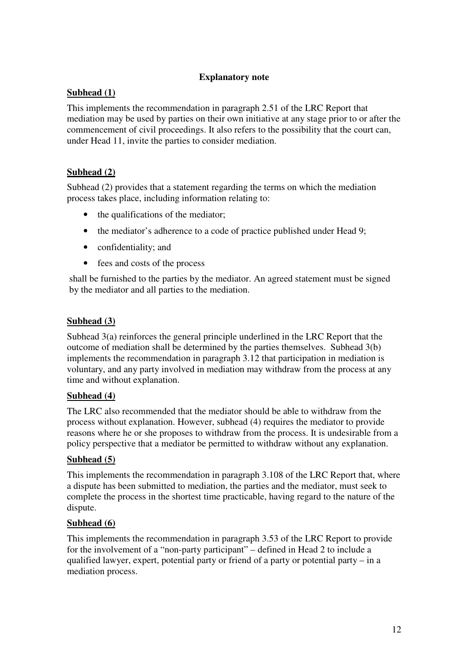## **Explanatory note**

# **Subhead (1)**

This implements the recommendation in paragraph 2.51 of the LRC Report that mediation may be used by parties on their own initiative at any stage prior to or after the commencement of civil proceedings. It also refers to the possibility that the court can, under Head 11, invite the parties to consider mediation.

# **Subhead (2)**

Subhead (2) provides that a statement regarding the terms on which the mediation process takes place, including information relating to:

- the qualifications of the mediator;
- the mediator's adherence to a code of practice published under Head 9;
- confidentiality; and
- fees and costs of the process

shall be furnished to the parties by the mediator. An agreed statement must be signed by the mediator and all parties to the mediation.

# **Subhead (3)**

Subhead 3(a) reinforces the general principle underlined in the LRC Report that the outcome of mediation shall be determined by the parties themselves. Subhead 3(b) implements the recommendation in paragraph 3.12 that participation in mediation is voluntary, and any party involved in mediation may withdraw from the process at any time and without explanation.

## **Subhead (4)**

The LRC also recommended that the mediator should be able to withdraw from the process without explanation. However, subhead (4) requires the mediator to provide reasons where he or she proposes to withdraw from the process. It is undesirable from a policy perspective that a mediator be permitted to withdraw without any explanation.

## **Subhead (5)**

This implements the recommendation in paragraph 3.108 of the LRC Report that, where a dispute has been submitted to mediation, the parties and the mediator, must seek to complete the process in the shortest time practicable, having regard to the nature of the dispute.

## **Subhead (6)**

This implements the recommendation in paragraph 3.53 of the LRC Report to provide for the involvement of a "non-party participant" – defined in Head 2 to include a qualified lawyer, expert, potential party or friend of a party or potential party – in a mediation process.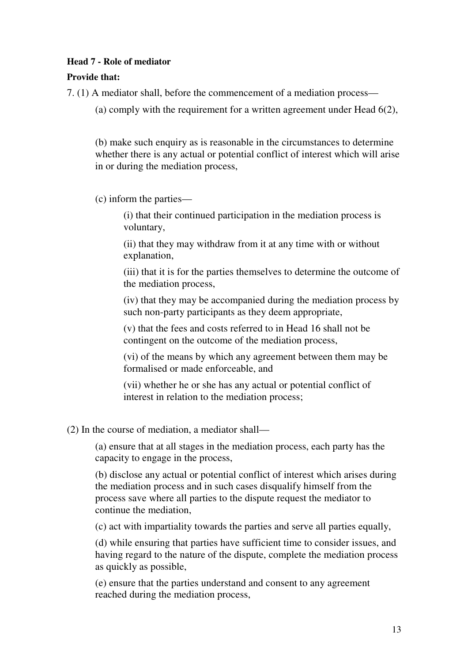## **Head 7 - Role of mediator**

# **Provide that:**

7. (1) A mediator shall, before the commencement of a mediation process—

(a) comply with the requirement for a written agreement under Head 6(2),

(b) make such enquiry as is reasonable in the circumstances to determine whether there is any actual or potential conflict of interest which will arise in or during the mediation process,

(c) inform the parties—

(i) that their continued participation in the mediation process is voluntary,

(ii) that they may withdraw from it at any time with or without explanation,

(iii) that it is for the parties themselves to determine the outcome of the mediation process,

(iv) that they may be accompanied during the mediation process by such non-party participants as they deem appropriate,

(v) that the fees and costs referred to in Head 16 shall not be contingent on the outcome of the mediation process,

(vi) of the means by which any agreement between them may be formalised or made enforceable, and

(vii) whether he or she has any actual or potential conflict of interest in relation to the mediation process;

(2) In the course of mediation, a mediator shall—

(a) ensure that at all stages in the mediation process, each party has the capacity to engage in the process,

(b) disclose any actual or potential conflict of interest which arises during the mediation process and in such cases disqualify himself from the process save where all parties to the dispute request the mediator to continue the mediation,

(c) act with impartiality towards the parties and serve all parties equally,

(d) while ensuring that parties have sufficient time to consider issues, and having regard to the nature of the dispute, complete the mediation process as quickly as possible,

(e) ensure that the parties understand and consent to any agreement reached during the mediation process,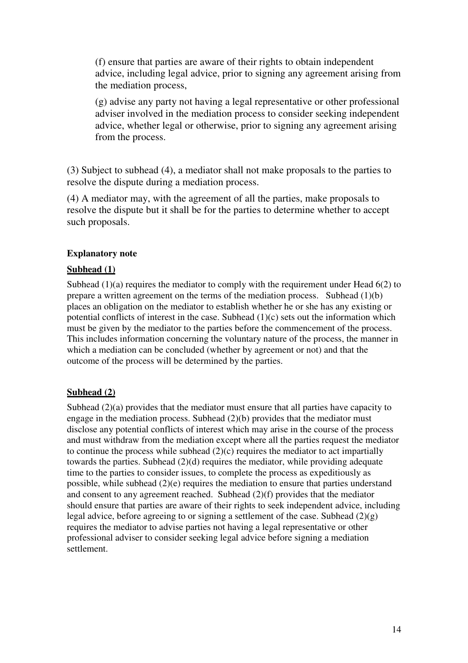(f) ensure that parties are aware of their rights to obtain independent advice, including legal advice, prior to signing any agreement arising from the mediation process,

(g) advise any party not having a legal representative or other professional adviser involved in the mediation process to consider seeking independent advice, whether legal or otherwise, prior to signing any agreement arising from the process.

(3) Subject to subhead (4), a mediator shall not make proposals to the parties to resolve the dispute during a mediation process.

(4) A mediator may, with the agreement of all the parties, make proposals to resolve the dispute but it shall be for the parties to determine whether to accept such proposals.

#### **Explanatory note**

#### **Subhead (1)**

Subhead  $(1)(a)$  requires the mediator to comply with the requirement under Head  $6(2)$  to prepare a written agreement on the terms of the mediation process. Subhead (1)(b) places an obligation on the mediator to establish whether he or she has any existing or potential conflicts of interest in the case. Subhead (1)(c) sets out the information which must be given by the mediator to the parties before the commencement of the process. This includes information concerning the voluntary nature of the process, the manner in which a mediation can be concluded (whether by agreement or not) and that the outcome of the process will be determined by the parties.

## **Subhead (2)**

Subhead (2)(a) provides that the mediator must ensure that all parties have capacity to engage in the mediation process. Subhead (2)(b) provides that the mediator must disclose any potential conflicts of interest which may arise in the course of the process and must withdraw from the mediation except where all the parties request the mediator to continue the process while subhead  $(2)(c)$  requires the mediator to act impartially towards the parties. Subhead (2)(d) requires the mediator, while providing adequate time to the parties to consider issues, to complete the process as expeditiously as possible, while subhead  $(2)(e)$  requires the mediation to ensure that parties understand and consent to any agreement reached. Subhead  $(2)(f)$  provides that the mediator should ensure that parties are aware of their rights to seek independent advice, including legal advice, before agreeing to or signing a settlement of the case. Subhead  $(2)(g)$ requires the mediator to advise parties not having a legal representative or other professional adviser to consider seeking legal advice before signing a mediation settlement.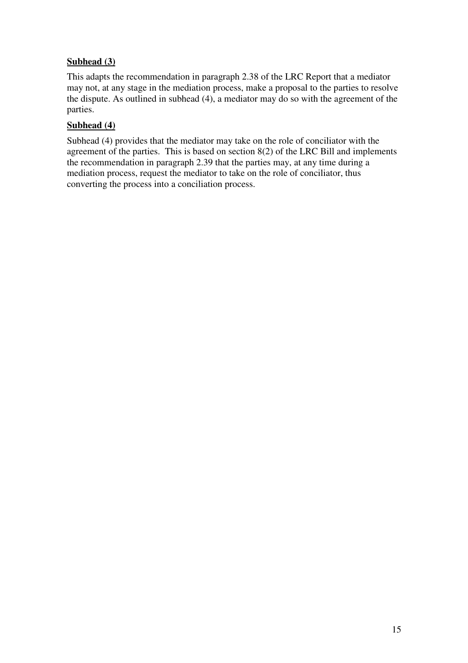# **Subhead (3)**

This adapts the recommendation in paragraph 2.38 of the LRC Report that a mediator may not, at any stage in the mediation process, make a proposal to the parties to resolve the dispute. As outlined in subhead (4), a mediator may do so with the agreement of the parties.

# **Subhead (4)**

Subhead (4) provides that the mediator may take on the role of conciliator with the agreement of the parties. This is based on section 8(2) of the LRC Bill and implements the recommendation in paragraph 2.39 that the parties may, at any time during a mediation process, request the mediator to take on the role of conciliator, thus converting the process into a conciliation process.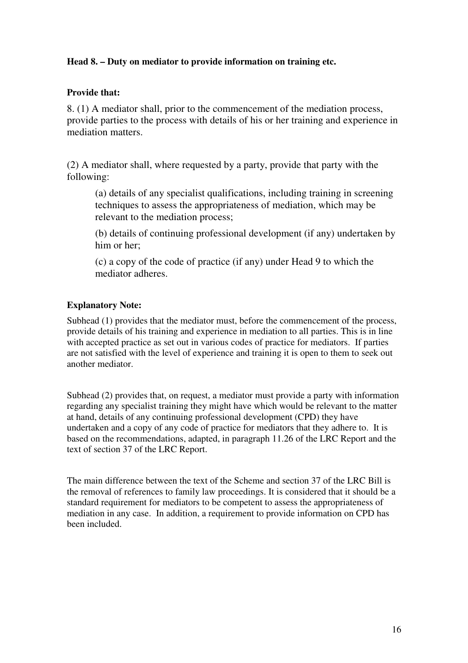## **Head 8. – Duty on mediator to provide information on training etc.**

## **Provide that:**

8. (1) A mediator shall, prior to the commencement of the mediation process, provide parties to the process with details of his or her training and experience in mediation matters.

(2) A mediator shall, where requested by a party, provide that party with the following:

(a) details of any specialist qualifications, including training in screening techniques to assess the appropriateness of mediation, which may be relevant to the mediation process;

(b) details of continuing professional development (if any) undertaken by him or her;

(c) a copy of the code of practice (if any) under Head 9 to which the mediator adheres.

## **Explanatory Note:**

Subhead (1) provides that the mediator must, before the commencement of the process, provide details of his training and experience in mediation to all parties. This is in line with accepted practice as set out in various codes of practice for mediators. If parties are not satisfied with the level of experience and training it is open to them to seek out another mediator.

Subhead (2) provides that, on request, a mediator must provide a party with information regarding any specialist training they might have which would be relevant to the matter at hand, details of any continuing professional development (CPD) they have undertaken and a copy of any code of practice for mediators that they adhere to. It is based on the recommendations, adapted, in paragraph 11.26 of the LRC Report and the text of section 37 of the LRC Report.

The main difference between the text of the Scheme and section 37 of the LRC Bill is the removal of references to family law proceedings. It is considered that it should be a standard requirement for mediators to be competent to assess the appropriateness of mediation in any case. In addition, a requirement to provide information on CPD has been included.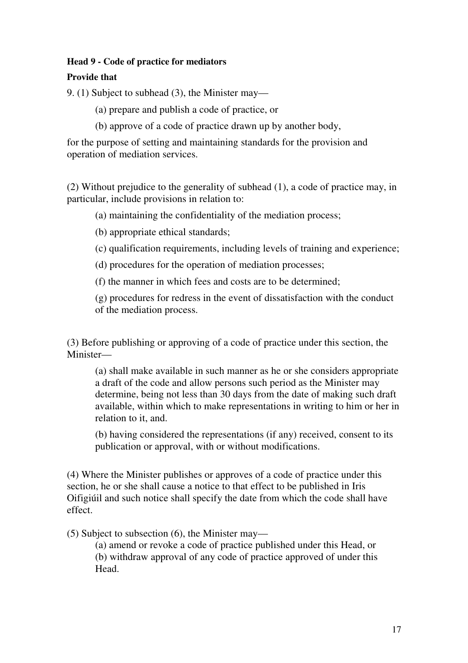# **Head 9 - Code of practice for mediators**

# **Provide that**

9. (1) Subject to subhead (3), the Minister may—

(a) prepare and publish a code of practice, or

(b) approve of a code of practice drawn up by another body,

for the purpose of setting and maintaining standards for the provision and operation of mediation services.

(2) Without prejudice to the generality of subhead (1), a code of practice may, in particular, include provisions in relation to:

(a) maintaining the confidentiality of the mediation process;

- (b) appropriate ethical standards;
- (c) qualification requirements, including levels of training and experience;

(d) procedures for the operation of mediation processes;

(f) the manner in which fees and costs are to be determined;

(g) procedures for redress in the event of dissatisfaction with the conduct of the mediation process.

(3) Before publishing or approving of a code of practice under this section, the Minister—

(a) shall make available in such manner as he or she considers appropriate a draft of the code and allow persons such period as the Minister may determine, being not less than 30 days from the date of making such draft available, within which to make representations in writing to him or her in relation to it, and.

(b) having considered the representations (if any) received, consent to its publication or approval, with or without modifications.

(4) Where the Minister publishes or approves of a code of practice under this section, he or she shall cause a notice to that effect to be published in Iris Oifigiúil and such notice shall specify the date from which the code shall have effect.

(5) Subject to subsection (6), the Minister may—

(a) amend or revoke a code of practice published under this Head, or (b) withdraw approval of any code of practice approved of under this Head.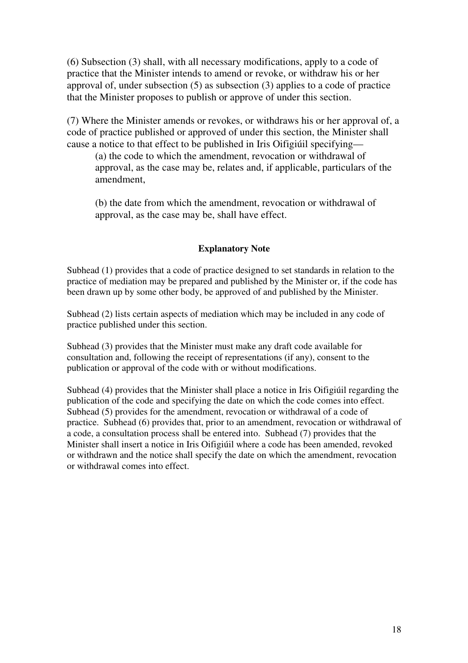(6) Subsection (3) shall, with all necessary modifications, apply to a code of practice that the Minister intends to amend or revoke, or withdraw his or her approval of, under subsection (5) as subsection (3) applies to a code of practice that the Minister proposes to publish or approve of under this section.

(7) Where the Minister amends or revokes, or withdraws his or her approval of, a code of practice published or approved of under this section, the Minister shall cause a notice to that effect to be published in Iris Oifigiúil specifying—

(a) the code to which the amendment, revocation or withdrawal of approval, as the case may be, relates and, if applicable, particulars of the amendment,

(b) the date from which the amendment, revocation or withdrawal of approval, as the case may be, shall have effect.

## **Explanatory Note**

Subhead (1) provides that a code of practice designed to set standards in relation to the practice of mediation may be prepared and published by the Minister or, if the code has been drawn up by some other body, be approved of and published by the Minister.

Subhead (2) lists certain aspects of mediation which may be included in any code of practice published under this section.

Subhead (3) provides that the Minister must make any draft code available for consultation and, following the receipt of representations (if any), consent to the publication or approval of the code with or without modifications.

Subhead (4) provides that the Minister shall place a notice in Iris Oifigiúil regarding the publication of the code and specifying the date on which the code comes into effect. Subhead (5) provides for the amendment, revocation or withdrawal of a code of practice. Subhead (6) provides that, prior to an amendment, revocation or withdrawal of a code, a consultation process shall be entered into. Subhead (7) provides that the Minister shall insert a notice in Iris Oifigiúil where a code has been amended, revoked or withdrawn and the notice shall specify the date on which the amendment, revocation or withdrawal comes into effect.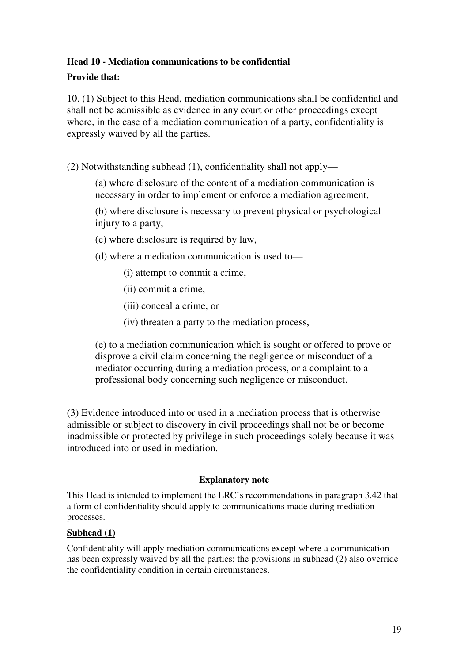# **Head 10 - Mediation communications to be confidential**

# **Provide that:**

10. (1) Subject to this Head, mediation communications shall be confidential and shall not be admissible as evidence in any court or other proceedings except where, in the case of a mediation communication of a party, confidentiality is expressly waived by all the parties.

(2) Notwithstanding subhead (1), confidentiality shall not apply—

(a) where disclosure of the content of a mediation communication is necessary in order to implement or enforce a mediation agreement,

(b) where disclosure is necessary to prevent physical or psychological injury to a party,

- (c) where disclosure is required by law,
- (d) where a mediation communication is used to—
	- (i) attempt to commit a crime,
	- (ii) commit a crime,
	- (iii) conceal a crime, or
	- (iv) threaten a party to the mediation process,

(e) to a mediation communication which is sought or offered to prove or disprove a civil claim concerning the negligence or misconduct of a mediator occurring during a mediation process, or a complaint to a professional body concerning such negligence or misconduct.

(3) Evidence introduced into or used in a mediation process that is otherwise admissible or subject to discovery in civil proceedings shall not be or become inadmissible or protected by privilege in such proceedings solely because it was introduced into or used in mediation.

## **Explanatory note**

This Head is intended to implement the LRC's recommendations in paragraph 3.42 that a form of confidentiality should apply to communications made during mediation processes.

## **Subhead (1)**

Confidentiality will apply mediation communications except where a communication has been expressly waived by all the parties; the provisions in subhead (2) also override the confidentiality condition in certain circumstances.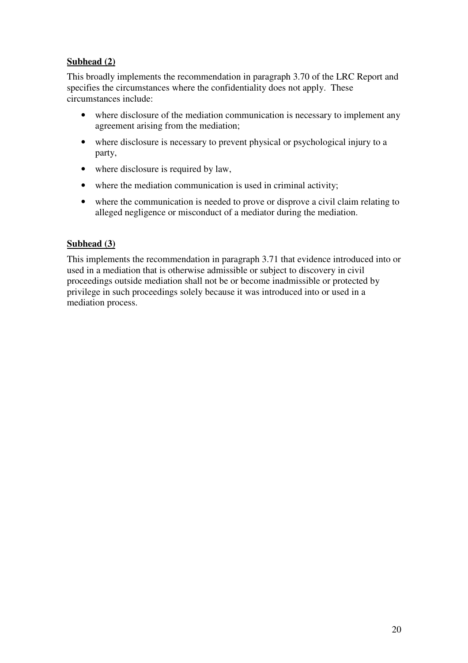# **Subhead (2)**

This broadly implements the recommendation in paragraph 3.70 of the LRC Report and specifies the circumstances where the confidentiality does not apply. These circumstances include:

- where disclosure of the mediation communication is necessary to implement any agreement arising from the mediation;
- where disclosure is necessary to prevent physical or psychological injury to a party,
- where disclosure is required by law,
- where the mediation communication is used in criminal activity;
- where the communication is needed to prove or disprove a civil claim relating to alleged negligence or misconduct of a mediator during the mediation.

# **Subhead (3)**

This implements the recommendation in paragraph 3.71 that evidence introduced into or used in a mediation that is otherwise admissible or subject to discovery in civil proceedings outside mediation shall not be or become inadmissible or protected by privilege in such proceedings solely because it was introduced into or used in a mediation process.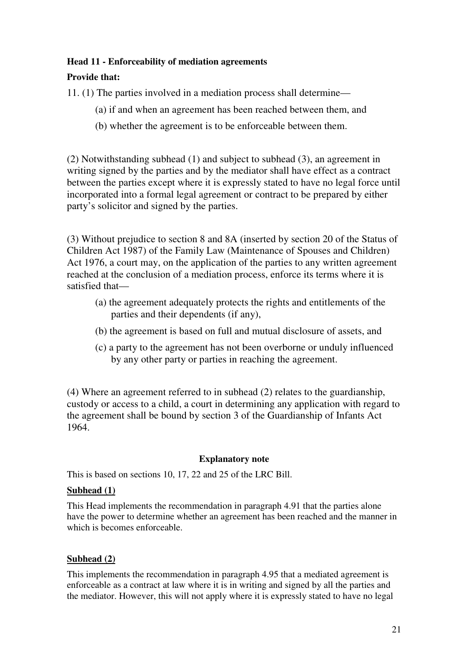## **Head 11 - Enforceability of mediation agreements**

# **Provide that:**

11. (1) The parties involved in a mediation process shall determine—

- (a) if and when an agreement has been reached between them, and
- (b) whether the agreement is to be enforceable between them.

(2) Notwithstanding subhead (1) and subject to subhead (3), an agreement in writing signed by the parties and by the mediator shall have effect as a contract between the parties except where it is expressly stated to have no legal force until incorporated into a formal legal agreement or contract to be prepared by either party's solicitor and signed by the parties.

(3) Without prejudice to section 8 and 8A (inserted by section 20 of the Status of Children Act 1987) of the Family Law (Maintenance of Spouses and Children) Act 1976, a court may, on the application of the parties to any written agreement reached at the conclusion of a mediation process, enforce its terms where it is satisfied that—

- (a) the agreement adequately protects the rights and entitlements of the parties and their dependents (if any),
- (b) the agreement is based on full and mutual disclosure of assets, and
- (c) a party to the agreement has not been overborne or unduly influenced by any other party or parties in reaching the agreement.

(4) Where an agreement referred to in subhead (2) relates to the guardianship, custody or access to a child, a court in determining any application with regard to the agreement shall be bound by section 3 of the Guardianship of Infants Act 1964.

## **Explanatory note**

This is based on sections 10, 17, 22 and 25 of the LRC Bill.

## **Subhead (1)**

This Head implements the recommendation in paragraph 4.91 that the parties alone have the power to determine whether an agreement has been reached and the manner in which is becomes enforceable.

## **Subhead (2)**

This implements the recommendation in paragraph 4.95 that a mediated agreement is enforceable as a contract at law where it is in writing and signed by all the parties and the mediator. However, this will not apply where it is expressly stated to have no legal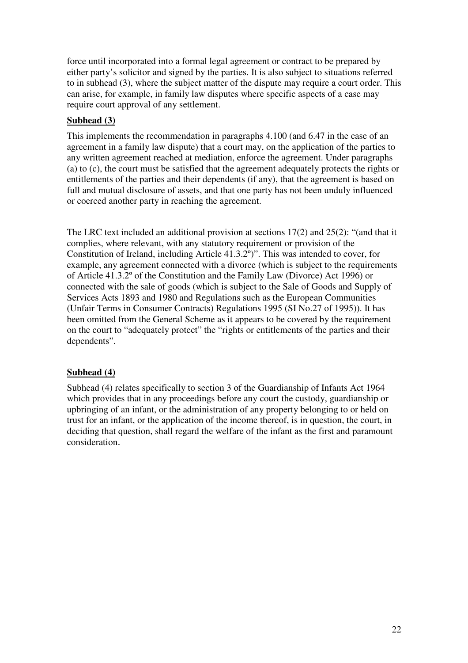force until incorporated into a formal legal agreement or contract to be prepared by either party's solicitor and signed by the parties. It is also subject to situations referred to in subhead (3), where the subject matter of the dispute may require a court order. This can arise, for example, in family law disputes where specific aspects of a case may require court approval of any settlement.

# **Subhead (3)**

This implements the recommendation in paragraphs 4.100 (and 6.47 in the case of an agreement in a family law dispute) that a court may, on the application of the parties to any written agreement reached at mediation, enforce the agreement. Under paragraphs (a) to (c), the court must be satisfied that the agreement adequately protects the rights or entitlements of the parties and their dependents (if any), that the agreement is based on full and mutual disclosure of assets, and that one party has not been unduly influenced or coerced another party in reaching the agreement.

The LRC text included an additional provision at sections  $17(2)$  and  $25(2)$ : "(and that it complies, where relevant, with any statutory requirement or provision of the Constitution of Ireland, including Article 41.3.2º)". This was intended to cover, for example, any agreement connected with a divorce (which is subject to the requirements of Article 41.3.2º of the Constitution and the Family Law (Divorce) Act 1996) or connected with the sale of goods (which is subject to the Sale of Goods and Supply of Services Acts 1893 and 1980 and Regulations such as the European Communities (Unfair Terms in Consumer Contracts) Regulations 1995 (SI No.27 of 1995)). It has been omitted from the General Scheme as it appears to be covered by the requirement on the court to "adequately protect" the "rights or entitlements of the parties and their dependents".

# **Subhead (4)**

Subhead (4) relates specifically to section 3 of the Guardianship of Infants Act 1964 which provides that in any proceedings before any court the custody, guardianship or upbringing of an infant, or the administration of any property belonging to or held on trust for an infant, or the application of the income thereof, is in question, the court, in deciding that question, shall regard the welfare of the infant as the first and paramount consideration.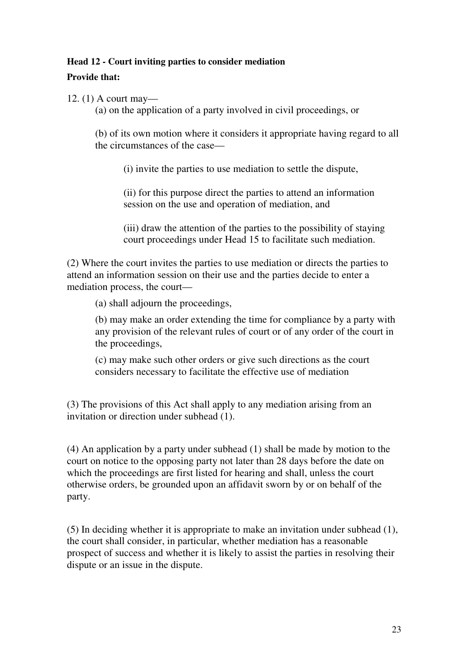## **Head 12 - Court inviting parties to consider mediation**

# **Provide that:**

12. (1) A court may—

(a) on the application of a party involved in civil proceedings, or

(b) of its own motion where it considers it appropriate having regard to all the circumstances of the case—

(i) invite the parties to use mediation to settle the dispute,

(ii) for this purpose direct the parties to attend an information session on the use and operation of mediation, and

(iii) draw the attention of the parties to the possibility of staying court proceedings under Head 15 to facilitate such mediation.

(2) Where the court invites the parties to use mediation or directs the parties to attend an information session on their use and the parties decide to enter a mediation process, the court—

(a) shall adjourn the proceedings,

(b) may make an order extending the time for compliance by a party with any provision of the relevant rules of court or of any order of the court in the proceedings,

(c) may make such other orders or give such directions as the court considers necessary to facilitate the effective use of mediation

(3) The provisions of this Act shall apply to any mediation arising from an invitation or direction under subhead (1).

(4) An application by a party under subhead (1) shall be made by motion to the court on notice to the opposing party not later than 28 days before the date on which the proceedings are first listed for hearing and shall, unless the court otherwise orders, be grounded upon an affidavit sworn by or on behalf of the party.

(5) In deciding whether it is appropriate to make an invitation under subhead (1), the court shall consider, in particular, whether mediation has a reasonable prospect of success and whether it is likely to assist the parties in resolving their dispute or an issue in the dispute.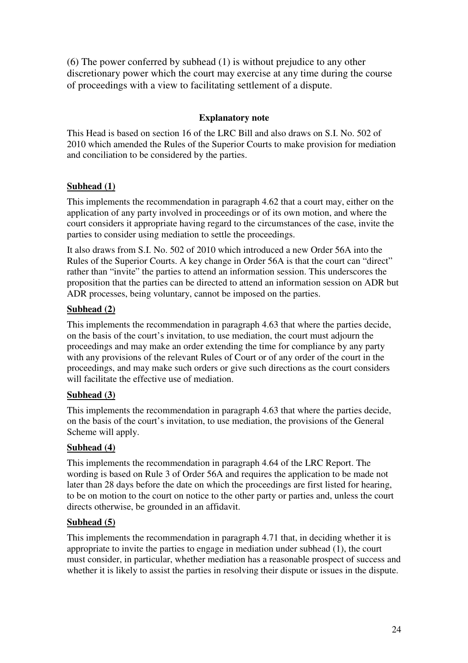(6) The power conferred by subhead (1) is without prejudice to any other discretionary power which the court may exercise at any time during the course of proceedings with a view to facilitating settlement of a dispute.

# **Explanatory note**

This Head is based on section 16 of the LRC Bill and also draws on S.I. No. 502 of 2010 which amended the Rules of the Superior Courts to make provision for mediation and conciliation to be considered by the parties.

# **Subhead (1)**

This implements the recommendation in paragraph 4.62 that a court may, either on the application of any party involved in proceedings or of its own motion, and where the court considers it appropriate having regard to the circumstances of the case, invite the parties to consider using mediation to settle the proceedings.

It also draws from S.I. No. 502 of 2010 which introduced a new Order 56A into the Rules of the Superior Courts. A key change in Order 56A is that the court can "direct" rather than "invite" the parties to attend an information session. This underscores the proposition that the parties can be directed to attend an information session on ADR but ADR processes, being voluntary, cannot be imposed on the parties.

# **Subhead (2)**

This implements the recommendation in paragraph 4.63 that where the parties decide, on the basis of the court's invitation, to use mediation, the court must adjourn the proceedings and may make an order extending the time for compliance by any party with any provisions of the relevant Rules of Court or of any order of the court in the proceedings, and may make such orders or give such directions as the court considers will facilitate the effective use of mediation.

## **Subhead (3)**

This implements the recommendation in paragraph 4.63 that where the parties decide, on the basis of the court's invitation, to use mediation, the provisions of the General Scheme will apply.

## **Subhead (4)**

This implements the recommendation in paragraph 4.64 of the LRC Report. The wording is based on Rule 3 of Order 56A and requires the application to be made not later than 28 days before the date on which the proceedings are first listed for hearing, to be on motion to the court on notice to the other party or parties and, unless the court directs otherwise, be grounded in an affidavit.

# **Subhead (5)**

This implements the recommendation in paragraph 4.71 that, in deciding whether it is appropriate to invite the parties to engage in mediation under subhead (1), the court must consider, in particular, whether mediation has a reasonable prospect of success and whether it is likely to assist the parties in resolving their dispute or issues in the dispute.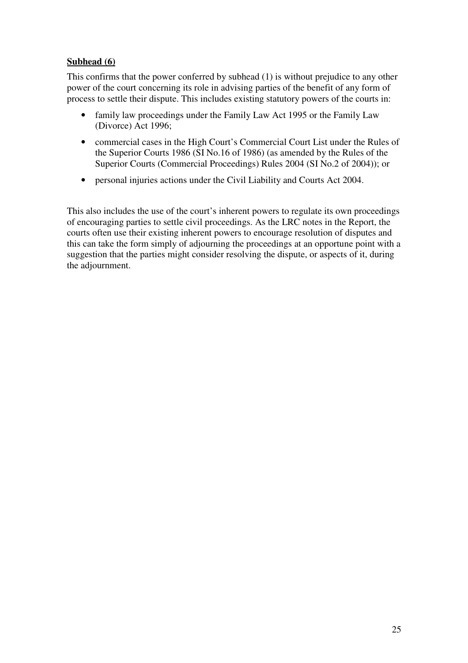# **Subhead (6)**

This confirms that the power conferred by subhead (1) is without prejudice to any other power of the court concerning its role in advising parties of the benefit of any form of process to settle their dispute. This includes existing statutory powers of the courts in:

- family law proceedings under the Family Law Act 1995 or the Family Law (Divorce) Act 1996;
- commercial cases in the High Court's Commercial Court List under the Rules of the Superior Courts 1986 (SI No.16 of 1986) (as amended by the Rules of the Superior Courts (Commercial Proceedings) Rules 2004 (SI No.2 of 2004)); or
- personal injuries actions under the Civil Liability and Courts Act 2004.

This also includes the use of the court's inherent powers to regulate its own proceedings of encouraging parties to settle civil proceedings. As the LRC notes in the Report, the courts often use their existing inherent powers to encourage resolution of disputes and this can take the form simply of adjourning the proceedings at an opportune point with a suggestion that the parties might consider resolving the dispute, or aspects of it, during the adjournment.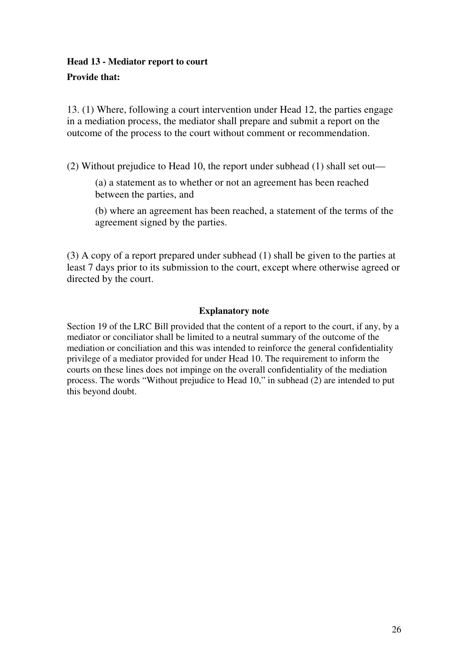# **Head 13 - Mediator report to court Provide that:**

13. (1) Where, following a court intervention under Head 12, the parties engage in a mediation process, the mediator shall prepare and submit a report on the outcome of the process to the court without comment or recommendation.

(2) Without prejudice to Head 10, the report under subhead (1) shall set out—

(a) a statement as to whether or not an agreement has been reached between the parties, and

(b) where an agreement has been reached, a statement of the terms of the agreement signed by the parties.

(3) A copy of a report prepared under subhead (1) shall be given to the parties at least 7 days prior to its submission to the court, except where otherwise agreed or directed by the court.

# **Explanatory note**

Section 19 of the LRC Bill provided that the content of a report to the court, if any, by a mediator or conciliator shall be limited to a neutral summary of the outcome of the mediation or conciliation and this was intended to reinforce the general confidentiality privilege of a mediator provided for under Head 10. The requirement to inform the courts on these lines does not impinge on the overall confidentiality of the mediation process. The words "Without prejudice to Head 10," in subhead (2) are intended to put this beyond doubt.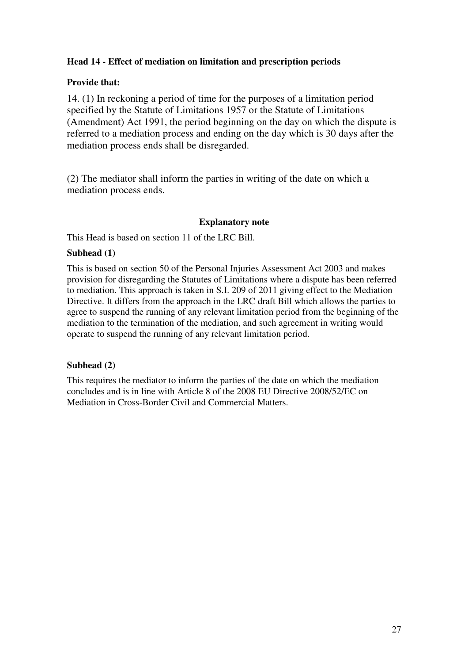# **Head 14 - Effect of mediation on limitation and prescription periods**

## **Provide that:**

14. (1) In reckoning a period of time for the purposes of a limitation period specified by the Statute of Limitations 1957 or the Statute of Limitations (Amendment) Act 1991, the period beginning on the day on which the dispute is referred to a mediation process and ending on the day which is 30 days after the mediation process ends shall be disregarded.

(2) The mediator shall inform the parties in writing of the date on which a mediation process ends.

#### **Explanatory note**

This Head is based on section 11 of the LRC Bill.

## **Subhead (1)**

This is based on section 50 of the Personal Injuries Assessment Act 2003 and makes provision for disregarding the Statutes of Limitations where a dispute has been referred to mediation. This approach is taken in S.I. 209 of 2011 giving effect to the Mediation Directive. It differs from the approach in the LRC draft Bill which allows the parties to agree to suspend the running of any relevant limitation period from the beginning of the mediation to the termination of the mediation, and such agreement in writing would operate to suspend the running of any relevant limitation period.

## **Subhead (2)**

This requires the mediator to inform the parties of the date on which the mediation concludes and is in line with Article 8 of the 2008 EU Directive 2008/52/EC on Mediation in Cross-Border Civil and Commercial Matters.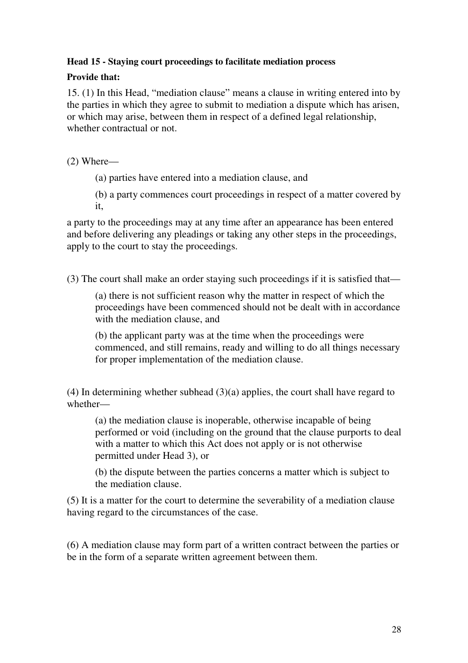# **Head 15 - Staying court proceedings to facilitate mediation process**

# **Provide that:**

15. (1) In this Head, "mediation clause" means a clause in writing entered into by the parties in which they agree to submit to mediation a dispute which has arisen, or which may arise, between them in respect of a defined legal relationship, whether contractual or not.

(2) Where—

(a) parties have entered into a mediation clause, and

(b) a party commences court proceedings in respect of a matter covered by it,

a party to the proceedings may at any time after an appearance has been entered and before delivering any pleadings or taking any other steps in the proceedings, apply to the court to stay the proceedings.

(3) The court shall make an order staying such proceedings if it is satisfied that—

(a) there is not sufficient reason why the matter in respect of which the proceedings have been commenced should not be dealt with in accordance with the mediation clause, and

(b) the applicant party was at the time when the proceedings were commenced, and still remains, ready and willing to do all things necessary for proper implementation of the mediation clause.

(4) In determining whether subhead (3)(a) applies, the court shall have regard to whether—

(a) the mediation clause is inoperable, otherwise incapable of being performed or void (including on the ground that the clause purports to deal with a matter to which this Act does not apply or is not otherwise permitted under Head 3), or

(b) the dispute between the parties concerns a matter which is subject to the mediation clause.

(5) It is a matter for the court to determine the severability of a mediation clause having regard to the circumstances of the case.

(6) A mediation clause may form part of a written contract between the parties or be in the form of a separate written agreement between them.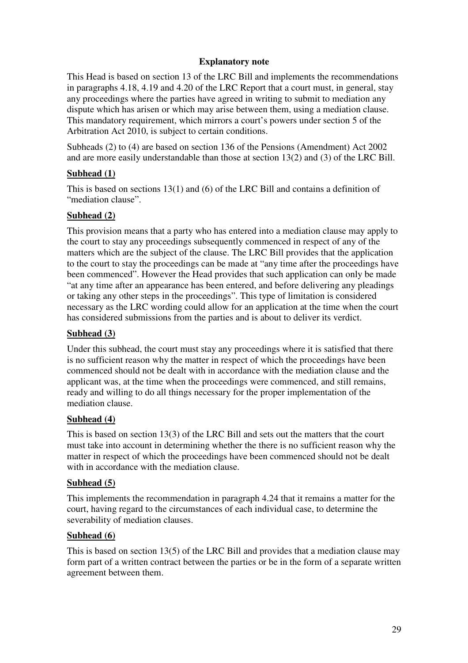## **Explanatory note**

This Head is based on section 13 of the LRC Bill and implements the recommendations in paragraphs 4.18, 4.19 and 4.20 of the LRC Report that a court must, in general, stay any proceedings where the parties have agreed in writing to submit to mediation any dispute which has arisen or which may arise between them, using a mediation clause. This mandatory requirement, which mirrors a court's powers under section 5 of the Arbitration Act 2010, is subject to certain conditions.

Subheads (2) to (4) are based on section 136 of the Pensions (Amendment) Act 2002 and are more easily understandable than those at section 13(2) and (3) of the LRC Bill.

## **Subhead (1)**

This is based on sections 13(1) and (6) of the LRC Bill and contains a definition of "mediation clause".

#### **Subhead (2)**

This provision means that a party who has entered into a mediation clause may apply to the court to stay any proceedings subsequently commenced in respect of any of the matters which are the subject of the clause. The LRC Bill provides that the application to the court to stay the proceedings can be made at "any time after the proceedings have been commenced". However the Head provides that such application can only be made "at any time after an appearance has been entered, and before delivering any pleadings or taking any other steps in the proceedings". This type of limitation is considered necessary as the LRC wording could allow for an application at the time when the court has considered submissions from the parties and is about to deliver its verdict.

#### **Subhead (3)**

Under this subhead, the court must stay any proceedings where it is satisfied that there is no sufficient reason why the matter in respect of which the proceedings have been commenced should not be dealt with in accordance with the mediation clause and the applicant was, at the time when the proceedings were commenced, and still remains, ready and willing to do all things necessary for the proper implementation of the mediation clause.

#### **Subhead (4)**

This is based on section 13(3) of the LRC Bill and sets out the matters that the court must take into account in determining whether the there is no sufficient reason why the matter in respect of which the proceedings have been commenced should not be dealt with in accordance with the mediation clause.

#### **Subhead (5)**

This implements the recommendation in paragraph 4.24 that it remains a matter for the court, having regard to the circumstances of each individual case, to determine the severability of mediation clauses.

#### **Subhead (6)**

This is based on section 13(5) of the LRC Bill and provides that a mediation clause may form part of a written contract between the parties or be in the form of a separate written agreement between them.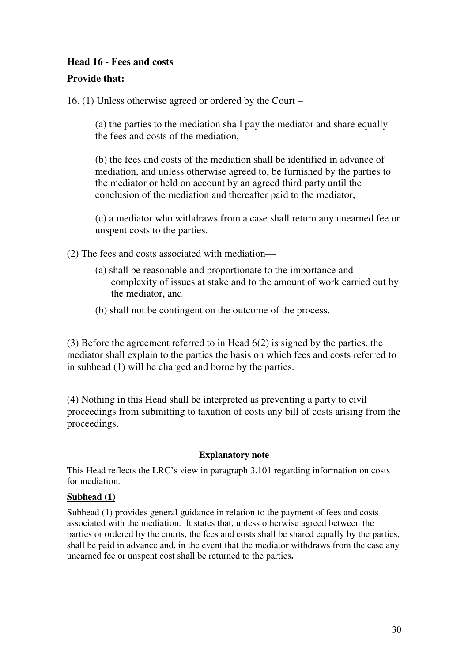# **Head 16 - Fees and costs**

# **Provide that:**

16. (1) Unless otherwise agreed or ordered by the Court –

 (a) the parties to the mediation shall pay the mediator and share equally the fees and costs of the mediation,

 (b) the fees and costs of the mediation shall be identified in advance of mediation, and unless otherwise agreed to, be furnished by the parties to the mediator or held on account by an agreed third party until the conclusion of the mediation and thereafter paid to the mediator,

 (c) a mediator who withdraws from a case shall return any unearned fee or unspent costs to the parties.

- (2) The fees and costs associated with mediation—
	- (a) shall be reasonable and proportionate to the importance and complexity of issues at stake and to the amount of work carried out by the mediator, and
	- (b) shall not be contingent on the outcome of the process.

(3) Before the agreement referred to in Head 6(2) is signed by the parties, the mediator shall explain to the parties the basis on which fees and costs referred to in subhead (1) will be charged and borne by the parties.

(4) Nothing in this Head shall be interpreted as preventing a party to civil proceedings from submitting to taxation of costs any bill of costs arising from the proceedings.

# **Explanatory note**

This Head reflects the LRC's view in paragraph 3.101 regarding information on costs for mediation.

## **Subhead (1)**

Subhead (1) provides general guidance in relation to the payment of fees and costs associated with the mediation. It states that, unless otherwise agreed between the parties or ordered by the courts, the fees and costs shall be shared equally by the parties, shall be paid in advance and, in the event that the mediator withdraws from the case any unearned fee or unspent cost shall be returned to the parties**.**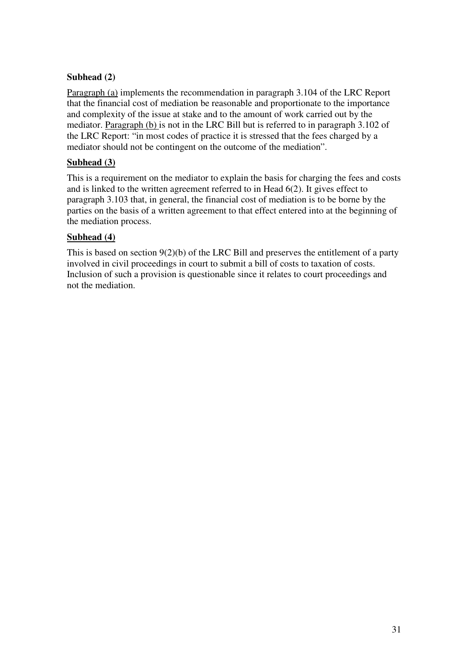# **Subhead (2)**

Paragraph (a) implements the recommendation in paragraph 3.104 of the LRC Report that the financial cost of mediation be reasonable and proportionate to the importance and complexity of the issue at stake and to the amount of work carried out by the mediator. Paragraph (b) is not in the LRC Bill but is referred to in paragraph 3.102 of the LRC Report: "in most codes of practice it is stressed that the fees charged by a mediator should not be contingent on the outcome of the mediation".

## **Subhead (3)**

This is a requirement on the mediator to explain the basis for charging the fees and costs and is linked to the written agreement referred to in Head 6(2). It gives effect to paragraph 3.103 that, in general, the financial cost of mediation is to be borne by the parties on the basis of a written agreement to that effect entered into at the beginning of the mediation process.

## **Subhead (4)**

This is based on section 9(2)(b) of the LRC Bill and preserves the entitlement of a party involved in civil proceedings in court to submit a bill of costs to taxation of costs. Inclusion of such a provision is questionable since it relates to court proceedings and not the mediation.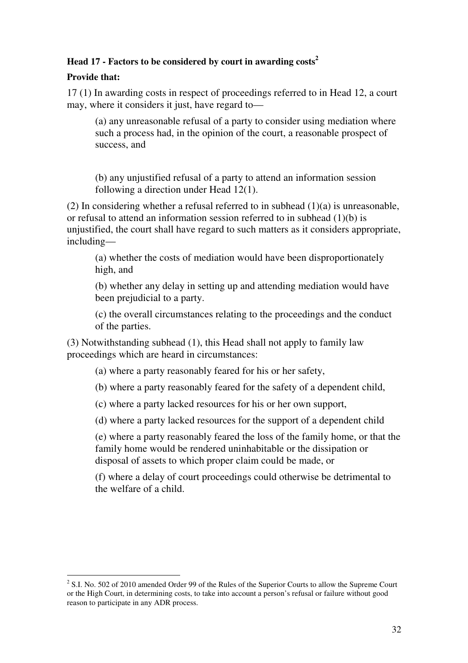# **Head 17 - Factors to be considered by court in awarding costs<sup>2</sup>**

# **Provide that:**

17 (1) In awarding costs in respect of proceedings referred to in Head 12, a court may, where it considers it just, have regard to—

(a) any unreasonable refusal of a party to consider using mediation where such a process had, in the opinion of the court, a reasonable prospect of success, and

(b) any unjustified refusal of a party to attend an information session following a direction under Head 12(1).

(2) In considering whether a refusal referred to in subhead  $(1)(a)$  is unreasonable, or refusal to attend an information session referred to in subhead (1)(b) is unjustified, the court shall have regard to such matters as it considers appropriate, including—

(a) whether the costs of mediation would have been disproportionately high, and

(b) whether any delay in setting up and attending mediation would have been prejudicial to a party.

(c) the overall circumstances relating to the proceedings and the conduct of the parties.

(3) Notwithstanding subhead (1), this Head shall not apply to family law proceedings which are heard in circumstances:

(a) where a party reasonably feared for his or her safety,

(b) where a party reasonably feared for the safety of a dependent child,

(c) where a party lacked resources for his or her own support,

(d) where a party lacked resources for the support of a dependent child

(e) where a party reasonably feared the loss of the family home, or that the family home would be rendered uninhabitable or the dissipation or disposal of assets to which proper claim could be made, or

 (f) where a delay of court proceedings could otherwise be detrimental to the welfare of a child.

 $\overline{a}$  $2^2$  S.I. No. 502 of 2010 amended Order 99 of the Rules of the Superior Courts to allow the Supreme Court or the High Court, in determining costs, to take into account a person's refusal or failure without good reason to participate in any ADR process.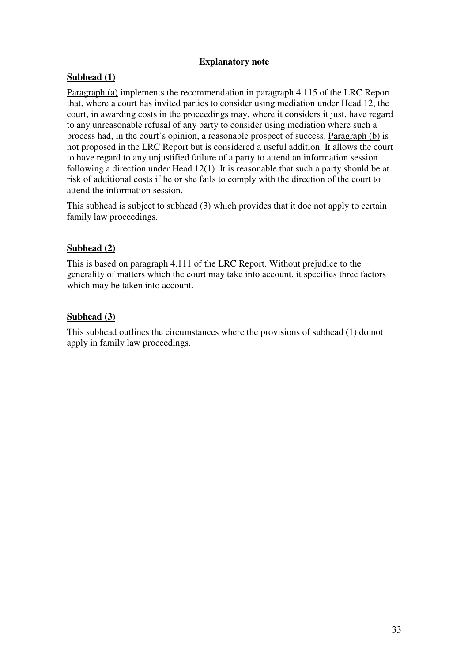## **Explanatory note**

# **Subhead (1)**

Paragraph (a) implements the recommendation in paragraph 4.115 of the LRC Report that, where a court has invited parties to consider using mediation under Head 12, the court, in awarding costs in the proceedings may, where it considers it just, have regard to any unreasonable refusal of any party to consider using mediation where such a process had, in the court's opinion, a reasonable prospect of success. Paragraph (b) is not proposed in the LRC Report but is considered a useful addition. It allows the court to have regard to any unjustified failure of a party to attend an information session following a direction under Head 12(1). It is reasonable that such a party should be at risk of additional costs if he or she fails to comply with the direction of the court to attend the information session.

This subhead is subject to subhead (3) which provides that it doe not apply to certain family law proceedings.

## **Subhead (2)**

This is based on paragraph 4.111 of the LRC Report. Without prejudice to the generality of matters which the court may take into account, it specifies three factors which may be taken into account.

# **Subhead (3)**

This subhead outlines the circumstances where the provisions of subhead (1) do not apply in family law proceedings.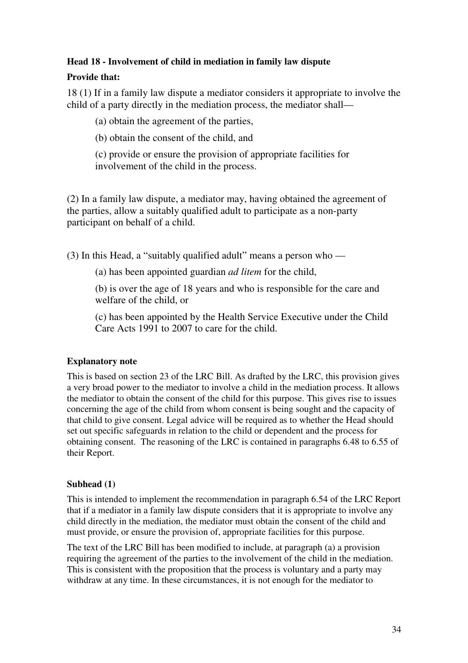## **Head 18 - Involvement of child in mediation in family law dispute**

# **Provide that:**

18 (1) If in a family law dispute a mediator considers it appropriate to involve the child of a party directly in the mediation process, the mediator shall—

(a) obtain the agreement of the parties,

(b) obtain the consent of the child, and

(c) provide or ensure the provision of appropriate facilities for involvement of the child in the process.

(2) In a family law dispute, a mediator may, having obtained the agreement of the parties, allow a suitably qualified adult to participate as a non-party participant on behalf of a child.

(3) In this Head, a "suitably qualified adult" means a person who —

(a) has been appointed guardian *ad litem* for the child,

(b) is over the age of 18 years and who is responsible for the care and welfare of the child, or

(c) has been appointed by the Health Service Executive under the Child Care Acts 1991 to 2007 to care for the child.

# **Explanatory note**

This is based on section 23 of the LRC Bill. As drafted by the LRC, this provision gives a very broad power to the mediator to involve a child in the mediation process. It allows the mediator to obtain the consent of the child for this purpose. This gives rise to issues concerning the age of the child from whom consent is being sought and the capacity of that child to give consent. Legal advice will be required as to whether the Head should set out specific safeguards in relation to the child or dependent and the process for obtaining consent. The reasoning of the LRC is contained in paragraphs 6.48 to 6.55 of their Report.

# **Subhead (1)**

This is intended to implement the recommendation in paragraph 6.54 of the LRC Report that if a mediator in a family law dispute considers that it is appropriate to involve any child directly in the mediation, the mediator must obtain the consent of the child and must provide, or ensure the provision of, appropriate facilities for this purpose.

The text of the LRC Bill has been modified to include, at paragraph (a) a provision requiring the agreement of the parties to the involvement of the child in the mediation. This is consistent with the proposition that the process is voluntary and a party may withdraw at any time. In these circumstances, it is not enough for the mediator to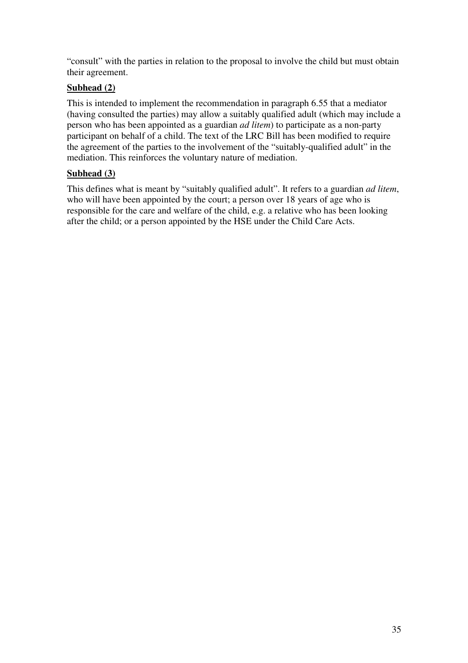"consult" with the parties in relation to the proposal to involve the child but must obtain their agreement.

# **Subhead (2)**

This is intended to implement the recommendation in paragraph 6.55 that a mediator (having consulted the parties) may allow a suitably qualified adult (which may include a person who has been appointed as a guardian *ad litem*) to participate as a non-party participant on behalf of a child. The text of the LRC Bill has been modified to require the agreement of the parties to the involvement of the "suitably-qualified adult" in the mediation. This reinforces the voluntary nature of mediation.

# **Subhead (3)**

This defines what is meant by "suitably qualified adult". It refers to a guardian *ad litem*, who will have been appointed by the court; a person over 18 years of age who is responsible for the care and welfare of the child, e.g. a relative who has been looking after the child; or a person appointed by the HSE under the Child Care Acts.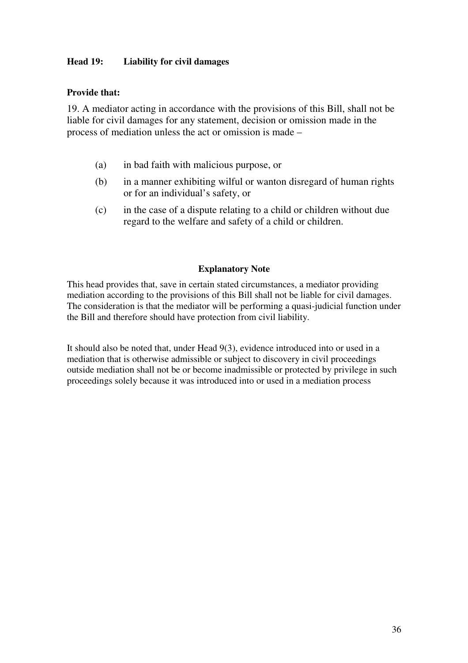## **Head 19: Liability for civil damages**

## **Provide that:**

19. A mediator acting in accordance with the provisions of this Bill, shall not be liable for civil damages for any statement, decision or omission made in the process of mediation unless the act or omission is made –

- (a) in bad faith with malicious purpose, or
- (b) in a manner exhibiting wilful or wanton disregard of human rights or for an individual's safety, or
- (c) in the case of a dispute relating to a child or children without due regard to the welfare and safety of a child or children.

#### **Explanatory Note**

This head provides that, save in certain stated circumstances, a mediator providing mediation according to the provisions of this Bill shall not be liable for civil damages. The consideration is that the mediator will be performing a quasi-judicial function under the Bill and therefore should have protection from civil liability.

It should also be noted that, under Head 9(3), evidence introduced into or used in a mediation that is otherwise admissible or subject to discovery in civil proceedings outside mediation shall not be or become inadmissible or protected by privilege in such proceedings solely because it was introduced into or used in a mediation process